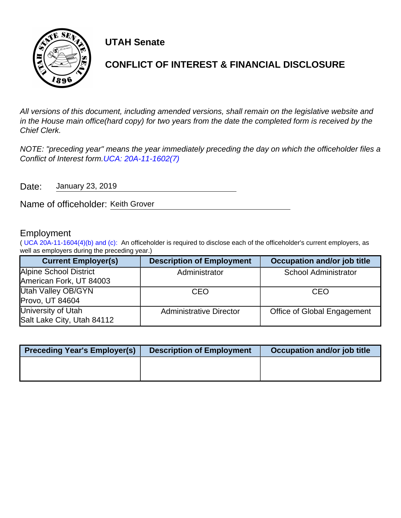

**UTAH Senate**

# **CONFLICT OF INTEREST & FINANCIAL DISCLOSURE**

All versions of this document, including amended versions, shall remain on the legislative website and in the House main office(hard copy) for two years from the date the completed form is received by the Chief Clerk.

NOTE: "preceding year" means the year immediately preceding the day on which the officeholder files a Conflict of Interest form.[UCA: 20A-11-1602\(7\)](http://www.le.utah.gov/xcode/Title20A/Chapter11/20A-11-S1602.html)

Date: January 23, 2019

Name of officeholder: Keith Grover

## Employment

( [UCA 20A-11-1604\(4\)\(b\) and \(c\):](https://le.utah.gov/xcode/Title20A/Chapter11/20A-11-S1604.html) An officeholder is required to disclose each of the officeholder's current employers, as well as employers during the preceding year.)

| <b>Current Employer(s)</b> | <b>Description of Employment</b> | Occupation and/or job title |
|----------------------------|----------------------------------|-----------------------------|
| Alpine School District     | Administrator                    | <b>School Administrator</b> |
| American Fork, UT 84003    |                                  |                             |
| Utah Valley OB/GYN         | <b>CEO</b>                       | CEO                         |
| Provo, UT 84604            |                                  |                             |
| University of Utah         | <b>Administrative Director</b>   | Office of Global Engagement |
| Salt Lake City, Utah 84112 |                                  |                             |

| <b>Preceding Year's Employer(s)</b> | <b>Description of Employment</b> | Occupation and/or job title |
|-------------------------------------|----------------------------------|-----------------------------|
|                                     |                                  |                             |
|                                     |                                  |                             |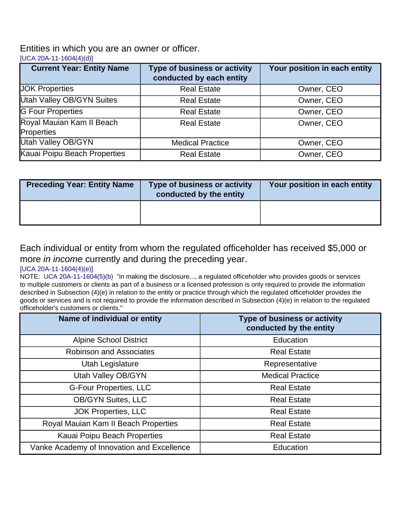## Entities in which you are an owner or officer.

[\[UCA 20A-11-1604\(4\)\(d\)\]](https://le.utah.gov/xcode/Title20A/Chapter11/20A-11-S1604.html)

| <b>Current Year: Entity Name</b>        | Type of business or activity<br>conducted by each entity | Your position in each entity |
|-----------------------------------------|----------------------------------------------------------|------------------------------|
| <b>JOK Properties</b>                   | <b>Real Estate</b>                                       | Owner, CEO                   |
| <b>Utah Valley OB/GYN Suites</b>        | <b>Real Estate</b>                                       | Owner, CEO                   |
| <b>G</b> Four Properties                | <b>Real Estate</b>                                       | Owner, CEO                   |
| Royal Mauian Kam II Beach<br>Properties | <b>Real Estate</b>                                       | Owner, CEO                   |
| Utah Valley OB/GYN                      | <b>Medical Practice</b>                                  | Owner, CEO                   |
| Kauai Poipu Beach Properties            | <b>Real Estate</b>                                       | Owner, CEO                   |

| <b>Preceding Year: Entity Name</b> | Type of business or activity<br>conducted by the entity | Your position in each entity |
|------------------------------------|---------------------------------------------------------|------------------------------|
|                                    |                                                         |                              |

## Each individual or entity from whom the regulated officeholder has received \$5,000 or more *in income* currently and during the preceding year.

#### [\[UCA 20A-11-1604\(4\)\(e\)\]](https://le.utah.gov/xcode/Title20A/Chapter11/20A-11-S1604.html)

NOTE: [UCA 20A-11-1604\(5\)\(b\)](http://le.utah.gov/xcode/Title20A/Chapter11/20A-11-S1604.html?v=C20A-11-S1604_2014040320140313) "in making the disclosure..., a regulated officeholder who provides goods or services to multiple customers or clients as part of a business or a licensed profession is only required to provide the information described in Subsection (4)(e) in relation to the entity or practice through which the regulated officeholder provides the goods or services and is not required to provide the information described in Subsection (4)(e) in relation to the regulated officeholder's customers or clients."

| Name of individual or entity               | Type of business or activity<br>conducted by the entity |
|--------------------------------------------|---------------------------------------------------------|
| <b>Alpine School District</b>              | Education                                               |
| <b>Robinson and Associates</b>             | <b>Real Estate</b>                                      |
| Utah Legislature                           | Representative                                          |
| <b>Utah Valley OB/GYN</b>                  | <b>Medical Practice</b>                                 |
| <b>G-Four Properties, LLC</b>              | <b>Real Estate</b>                                      |
| <b>OB/GYN Suites, LLC</b>                  | <b>Real Estate</b>                                      |
| <b>JOK Properties, LLC</b>                 | <b>Real Estate</b>                                      |
| Royal Mauian Kam II Beach Properties       | <b>Real Estate</b>                                      |
| Kauai Poipu Beach Properties               | <b>Real Estate</b>                                      |
| Vanke Academy of Innovation and Excellence | Education                                               |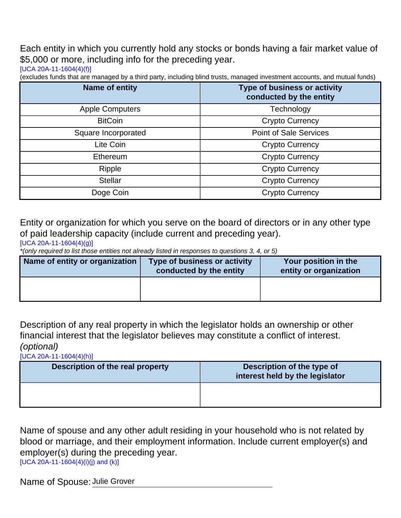Each entity in which you currently hold any stocks or bonds having a fair market value of \$5,000 or more, including info for the preceding year.

[\[UCA 20A-11-1604\(4\)\(f\)\]](https://le.utah.gov/xcode/Title20A/Chapter11/20A-11-S1604.html)

(excludes funds that are managed by a third party, including blind trusts, managed investment accounts, and mutual funds)

| Name of entity         | <b>Type of business or activity</b><br>conducted by the entity |
|------------------------|----------------------------------------------------------------|
| <b>Apple Computers</b> | Technology                                                     |
| <b>BitCoin</b>         | <b>Crypto Currency</b>                                         |
| Square Incorporated    | <b>Point of Sale Services</b>                                  |
| Lite Coin              | <b>Crypto Currency</b>                                         |
| Ethereum               | <b>Crypto Currency</b>                                         |
| Ripple                 | <b>Crypto Currency</b>                                         |
| <b>Stellar</b>         | <b>Crypto Currency</b>                                         |
| Doge Coin              | <b>Crypto Currency</b>                                         |

Entity or organization for which you serve on the board of directors or in any other type of paid leadership capacity (include current and preceding year).

[\[UCA 20A-11-1604\(4\)\(g\)\]](https://le.utah.gov/xcode/Title20A/Chapter11/20A-11-S1604.html)

\*(only required to list those entities not already listed in responses to questions 3, 4, or 5)

| Name of entity or organization | Type of business or activity<br>conducted by the entity | Your position in the<br>entity or organization |
|--------------------------------|---------------------------------------------------------|------------------------------------------------|
|                                |                                                         |                                                |

Description of any real property in which the legislator holds an ownership or other financial interest that the legislator believes may constitute a conflict of interest. (optional)

[\[UCA 20A-11-1604\(4\)\(h\)\]](https://le.utah.gov/xcode/Title20A/Chapter11/20A-11-S1604.html)

| Description of the real property | Description of the type of<br>interest held by the legislator |
|----------------------------------|---------------------------------------------------------------|
|                                  |                                                               |

Name of spouse and any other adult residing in your household who is not related by blood or marriage, and their employment information. Include current employer(s) and employer(s) during the preceding year. [\[UCA 20A-11-1604\(4\)\(i\)\(j\) and \(k\)\]](https://le.utah.gov/xcode/Title20A/Chapter11/20A-11-S1604.html)

Name of Spouse: Julie Grover